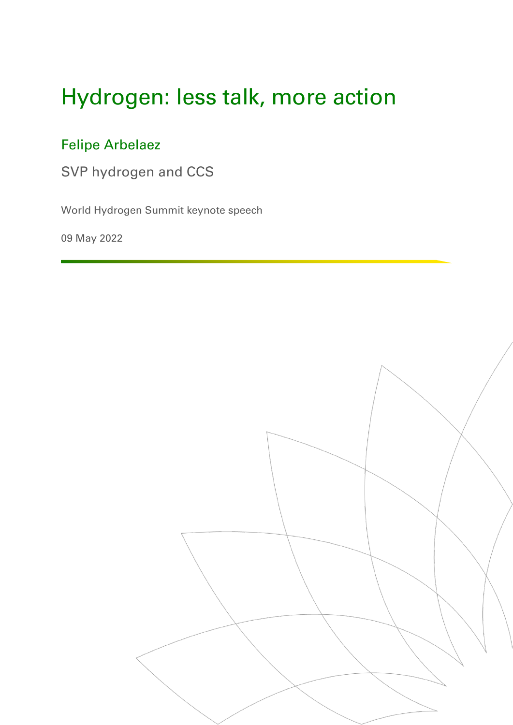# Hydrogen: less talk, more action

## Felipe Arbelaez

SVP hydrogen and CCS

World Hydrogen Summit keynote speech

09 May 2022

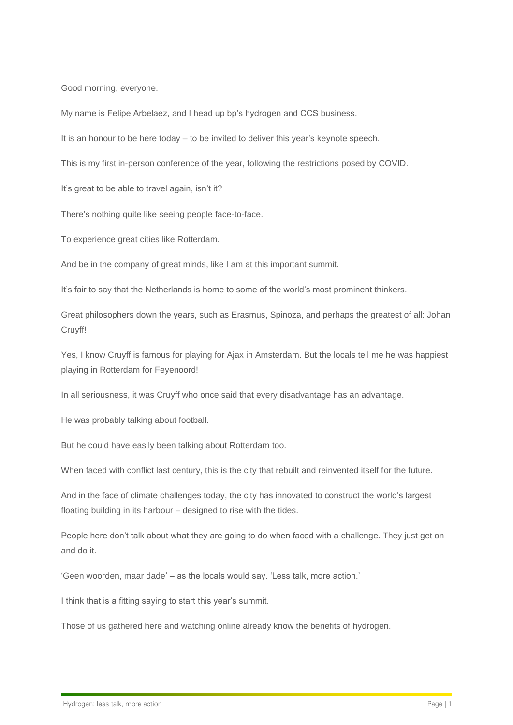Good morning, everyone.

My name is Felipe Arbelaez, and I head up bp's hydrogen and CCS business.

It is an honour to be here today – to be invited to deliver this year's keynote speech.

This is my first in-person conference of the year, following the restrictions posed by COVID.

It's great to be able to travel again, isn't it?

There's nothing quite like seeing people face-to-face.

To experience great cities like Rotterdam.

And be in the company of great minds, like I am at this important summit.

It's fair to say that the Netherlands is home to some of the world's most prominent thinkers.

Great philosophers down the years, such as Erasmus, Spinoza, and perhaps the greatest of all: Johan Cruyff!

Yes, I know Cruyff is famous for playing for Ajax in Amsterdam. But the locals tell me he was happiest playing in Rotterdam for Feyenoord!

In all seriousness, it was Cruyff who once said that every disadvantage has an advantage.

He was probably talking about football.

But he could have easily been talking about Rotterdam too.

When faced with conflict last century, this is the city that rebuilt and reinvented itself for the future.

And in the face of climate challenges today, the city has innovated to construct the world's largest floating building in its harbour – designed to rise with the tides.

People here don't talk about what they are going to do when faced with a challenge. They just get on and do it.

'Geen woorden, maar dade' – as the locals would say. 'Less talk, more action.'

I think that is a fitting saying to start this year's summit.

Those of us gathered here and watching online already know the benefits of hydrogen.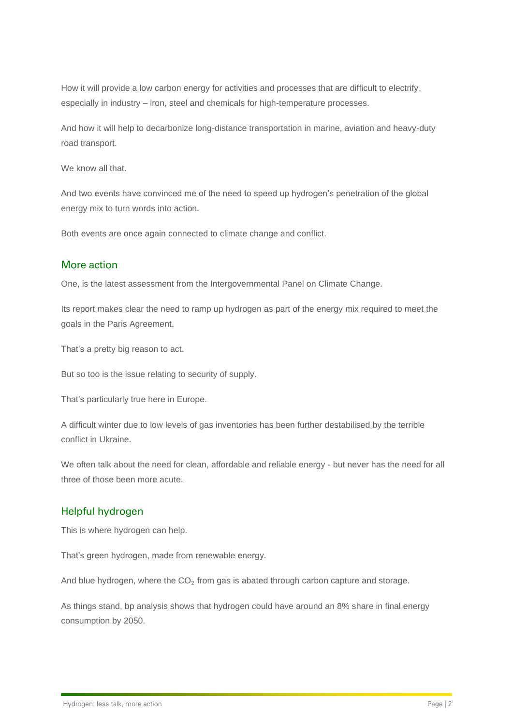How it will provide a low carbon energy for activities and processes that are difficult to electrify, especially in industry – iron, steel and chemicals for high-temperature processes.

And how it will help to decarbonize long-distance transportation in marine, aviation and heavy-duty road transport.

We know all that.

And two events have convinced me of the need to speed up hydrogen's penetration of the global energy mix to turn words into action.

Both events are once again connected to climate change and conflict.

#### More action

One, is the latest assessment from the Intergovernmental Panel on Climate Change.

Its report makes clear the need to ramp up hydrogen as part of the energy mix required to meet the goals in the Paris Agreement.

That's a pretty big reason to act.

But so too is the issue relating to security of supply.

That's particularly true here in Europe.

A difficult winter due to low levels of gas inventories has been further destabilised by the terrible conflict in Ukraine.

We often talk about the need for clean, affordable and reliable energy - but never has the need for all three of those been more acute.

#### Helpful hydrogen

This is where hydrogen can help.

That's green hydrogen, made from renewable energy.

And blue hydrogen, where the  $CO<sub>2</sub>$  from gas is abated through carbon capture and storage.

As things stand, bp analysis shows that hydrogen could have around an 8% share in final energy consumption by 2050.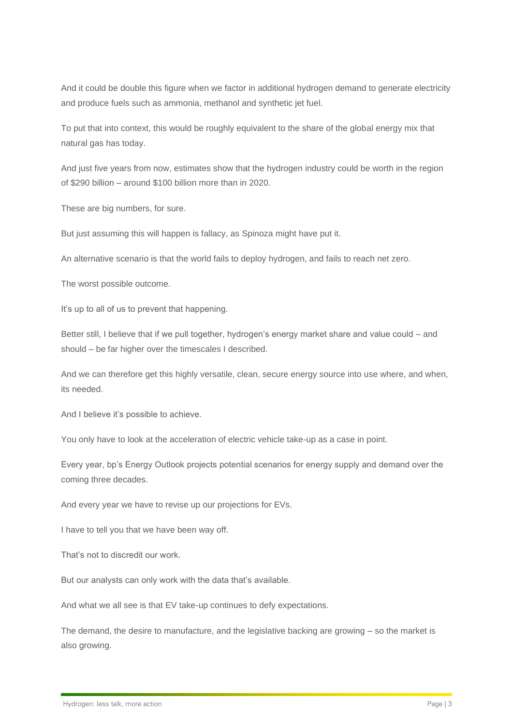And it could be double this figure when we factor in additional hydrogen demand to generate electricity and produce fuels such as ammonia, methanol and synthetic jet fuel.

To put that into context, this would be roughly equivalent to the share of the global energy mix that natural gas has today.

And just five years from now, estimates show that the hydrogen industry could be worth in the region of \$290 billion – around \$100 billion more than in 2020.

These are big numbers, for sure.

But just assuming this will happen is fallacy, as Spinoza might have put it.

An alternative scenario is that the world fails to deploy hydrogen, and fails to reach net zero.

The worst possible outcome.

It's up to all of us to prevent that happening.

Better still, I believe that if we pull together, hydrogen's energy market share and value could – and should – be far higher over the timescales I described.

And we can therefore get this highly versatile, clean, secure energy source into use where, and when, its needed.

And I believe it's possible to achieve.

You only have to look at the acceleration of electric vehicle take-up as a case in point.

Every year, bp's Energy Outlook projects potential scenarios for energy supply and demand over the coming three decades.

And every year we have to revise up our projections for EVs.

I have to tell you that we have been way off.

That's not to discredit our work.

But our analysts can only work with the data that's available.

And what we all see is that EV take-up continues to defy expectations.

The demand, the desire to manufacture, and the legislative backing are growing – so the market is also growing.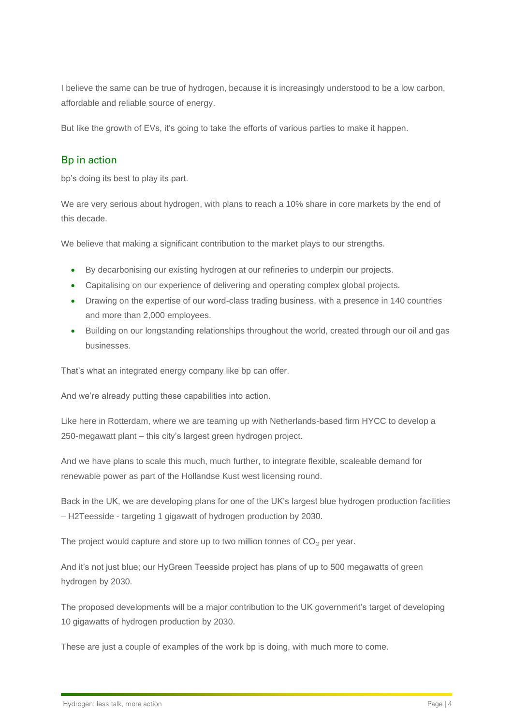I believe the same can be true of hydrogen, because it is increasingly understood to be a low carbon, affordable and reliable source of energy.

But like the growth of EVs, it's going to take the efforts of various parties to make it happen.

### Bp in action

bp's doing its best to play its part.

We are very serious about hydrogen, with plans to reach a 10% share in core markets by the end of this decade.

We believe that making a significant contribution to the market plays to our strengths.

- By decarbonising our existing hydrogen at our refineries to underpin our projects.
- Capitalising on our experience of delivering and operating complex global projects.
- Drawing on the expertise of our word-class trading business, with a presence in 140 countries and more than 2,000 employees.
- Building on our longstanding relationships throughout the world, created through our oil and gas businesses.

That's what an integrated energy company like bp can offer.

And we're already putting these capabilities into action.

Like here in Rotterdam, where we are teaming up with Netherlands-based firm HYCC to develop a 250-megawatt plant – this city's largest green hydrogen project.

And we have plans to scale this much, much further, to integrate flexible, scaleable demand for renewable power as part of the Hollandse Kust west licensing round.

Back in the UK, we are developing plans for one of the UK's largest blue hydrogen production facilities – H2Teesside - targeting 1 gigawatt of hydrogen production by 2030.

The project would capture and store up to two million tonnes of  $CO<sub>2</sub>$  per year.

And it's not just blue; our HyGreen Teesside project has plans of up to 500 megawatts of green hydrogen by 2030.

The proposed developments will be a major contribution to the UK government's target of developing 10 gigawatts of hydrogen production by 2030.

These are just a couple of examples of the work bp is doing, with much more to come.